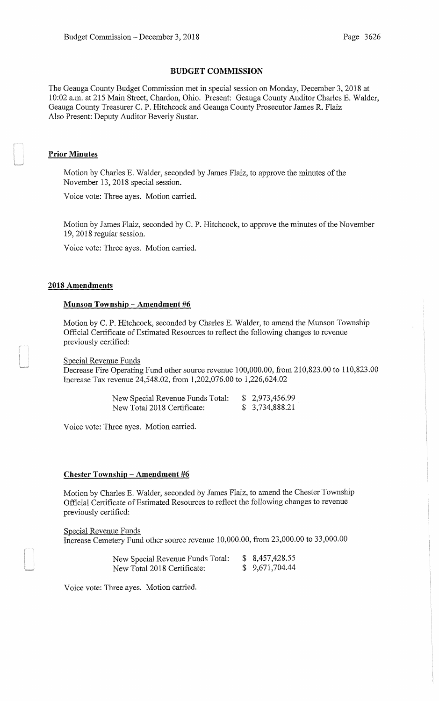### **BUDGET COMMISSION**

The Geauga County Budget Commission met in special session on Monday, December 3, 2018 at 10:02 a.m. at 215 Main Street, Chardon, Ohio. Present: Geauga County Auditor Charles E. Walder, Geauga County Treasurer C. P. Hitchcock and Geauga County Prosecutor James R. Flaiz Also Present: Deputy Auditor Beverly Sustar.

## **Prior Minutes**

Motion by Charles E. Walder, seconded by James Flaiz, to approve the minutes of the November 13, 2018 special session.

Voice vote: Three ayes. Motion carried.

Motion by James Flaiz, seconded by C. P. Hitchcock, to approve the minutes of the November 19, 2018 regular session.

Voice vote: Three ayes. Motion carried.

## **2018 Amendments**

#### **Munson Township -Amendment #6**

Motion by C. P. Hitchcock, seconded by Charles E. Walder, to amend the Munson Township Official Certificate of Estimated Resources to reflect the following changes to revenue previously certified:

Special Revenue Funds

Decrease Fire Operating Fund other source revenue 100,000.00, from 210,823.00 to 110,823.00 Increase Tax revenue 24,548.02, from 1,202,076.00 to 1,226,624.02

| New Special Revenue Funds Total: | \$2,973,456.99 |
|----------------------------------|----------------|
| New Total 2018 Certificate:      | \$3,734,888.21 |

Voice vote: Three ayes. Motion carried.

#### **Chester Township- Amendment #6**

Motion by Charles E. Walder, seconded by James Flaiz, to amend the Chester Township Official Certificate of Estimated Resources to reflect the following changes to revenue previously certified:

Special Revenue Funds Increase Cemetery Fund other source revenue 10,000.00, from 23,000.00 to 33,000.00

| New Special Revenue Funds Total: | \$8,457,428.55 |
|----------------------------------|----------------|
| New Total 2018 Certificate:      | \$9,671,704.44 |

Voice vote: Three ayes. Motion carried.